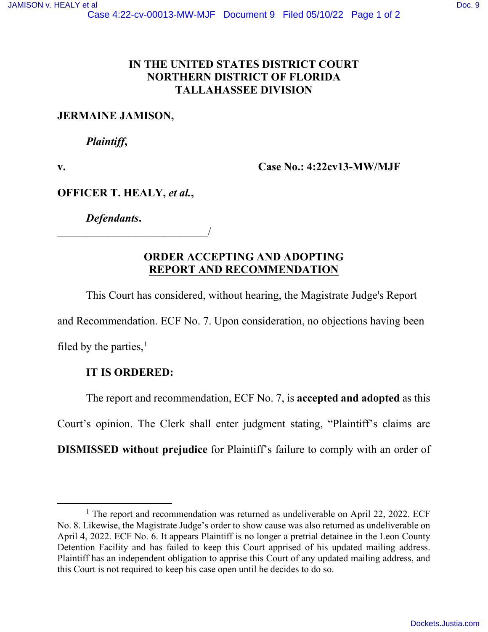## **IN THE UNITED STATES DISTRICT COURT NORTHERN DISTRICT OF FLORIDA TALLAHASSEE DIVISION**

### **JERMAINE JAMISON,**

#### *Plaintiff***,**

**v. Case No.: 4:22cv13-MW/MJF** 

### **OFFICER T. HEALY,** *et al.***,**

*Defendants***.** 

\_\_\_\_\_\_\_\_\_\_\_\_\_\_\_\_\_\_\_\_\_\_\_\_\_\_\_/

## **ORDER ACCEPTING AND ADOPTING REPORT AND RECOMMENDATION**

This Court has considered, without hearing, the Magistrate Judge's Report

and Recommendation. ECF No. 7. Upon consideration, no objections having been

filed by the parties, $<sup>1</sup>$  $<sup>1</sup>$  $<sup>1</sup>$ </sup>

## **IT IS ORDERED:**

The report and recommendation, ECF No. 7, is **accepted and adopted** as this

Court's opinion. The Clerk shall enter judgment stating, "Plaintiff's claims are

**DISMISSED without prejudice** for Plaintiff's failure to comply with an order of

<span id="page-0-0"></span><sup>&</sup>lt;sup>1</sup> The report and recommendation was returned as undeliverable on April 22, 2022. ECF No. 8. Likewise, the Magistrate Judge's order to show cause was also returned as undeliverable on April 4, 2022. ECF No. 6. It appears Plaintiff is no longer a pretrial detainee in the Leon County Detention Facility and has failed to keep this Court apprised of his updated mailing address. Plaintiff has an independent obligation to apprise this Court of any updated mailing address, and this Court is not required to keep his case open until he decides to do so.